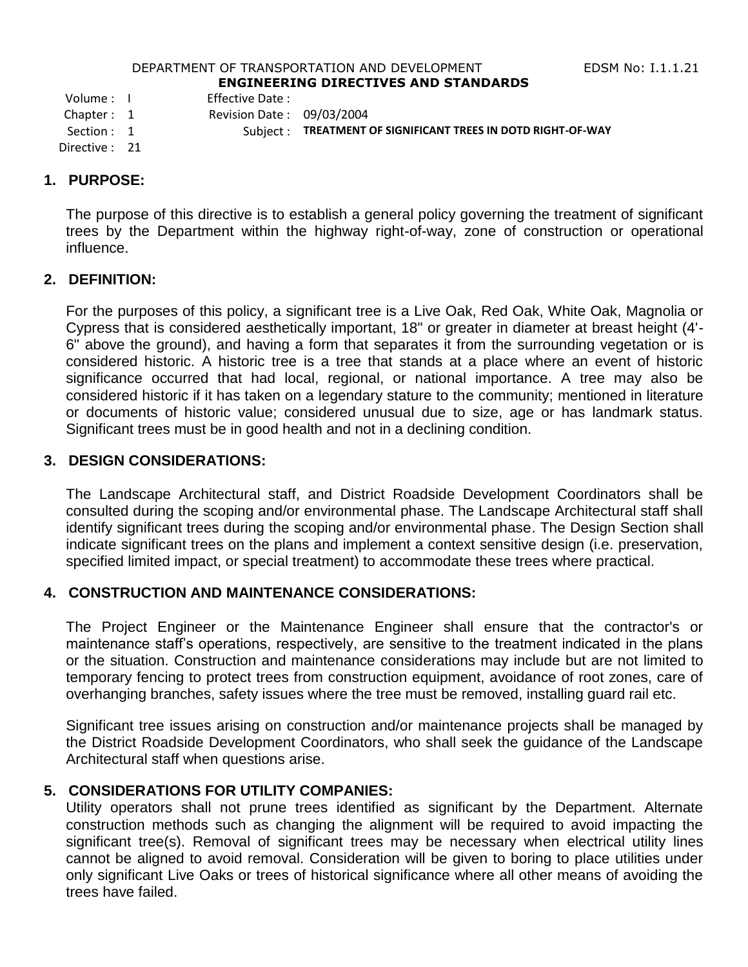#### DEPARTMENT OF TRANSPORTATION AND DEVELOPMENT FOR THE RESS RIGHT RESERVED TO THE LOCAL THREE RESPONSIVING. **ENGINEERING DIRECTIVES AND STANDARDS**

Volume : I Effective Date :

Chapter : 1 Revision Date : 09/03/2004

Section : 1 Subject : **TREATMENT OF SIGNIFICANT TREES IN DOTD RIGHT-OF-WAY** 

Directive : 21

#### **1. PURPOSE:**

The purpose of this directive is to establish a general policy governing the treatment of significant trees by the Department within the highway right-of-way, zone of construction or operational influence.

### **2. DEFINITION:**

For the purposes of this policy, a significant tree is a Live Oak, Red Oak, White Oak, Magnolia or Cypress that is considered aesthetically important, 18" or greater in diameter at breast height (4'- 6" above the ground), and having a form that separates it from the surrounding vegetation or is considered historic. A historic tree is a tree that stands at a place where an event of historic significance occurred that had local, regional, or national importance. A tree may also be considered historic if it has taken on a legendary stature to the community; mentioned in literature or documents of historic value; considered unusual due to size, age or has landmark status. Significant trees must be in good health and not in a declining condition.

### **3. DESIGN CONSIDERATIONS:**

The Landscape Architectural staff, and District Roadside Development Coordinators shall be consulted during the scoping and/or environmental phase. The Landscape Architectural staff shall identify significant trees during the scoping and/or environmental phase. The Design Section shall indicate significant trees on the plans and implement a context sensitive design (i.e. preservation, specified limited impact, or special treatment) to accommodate these trees where practical.

### **4. CONSTRUCTION AND MAINTENANCE CONSIDERATIONS:**

The Project Engineer or the Maintenance Engineer shall ensure that the contractor's or maintenance staff's operations, respectively, are sensitive to the treatment indicated in the plans or the situation. Construction and maintenance considerations may include but are not limited to temporary fencing to protect trees from construction equipment, avoidance of root zones, care of overhanging branches, safety issues where the tree must be removed, installing guard rail etc.

Significant tree issues arising on construction and/or maintenance projects shall be managed by the District Roadside Development Coordinators, who shall seek the guidance of the Landscape Architectural staff when questions arise.

## **5. CONSIDERATIONS FOR UTILITY COMPANIES:**

Utility operators shall not prune trees identified as significant by the Department. Alternate construction methods such as changing the alignment will be required to avoid impacting the significant tree(s). Removal of significant trees may be necessary when electrical utility lines cannot be aligned to avoid removal. Consideration will be given to boring to place utilities under only significant Live Oaks or trees of historical significance where all other means of avoiding the trees have failed.